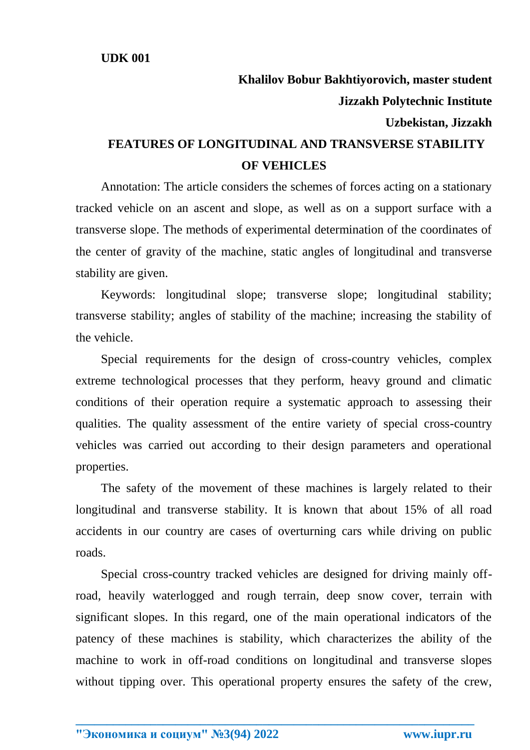## **Khalilov Bobur Bakhtiyorovich, master student Jizzakh Polytechnic Institute Uzbekistan, Jizzakh FEATURES OF LONGITUDINAL AND TRANSVERSE STABILITY OF VEHICLES**

Annotation: The article considers the schemes of forces acting on a stationary tracked vehicle on an ascent and slope, as well as on a support surface with a transverse slope. The methods of experimental determination of the coordinates of the center of gravity of the machine, static angles of longitudinal and transverse stability are given.

Keywords: longitudinal slope; transverse slope; longitudinal stability; transverse stability; angles of stability of the machine; increasing the stability of the vehicle.

Special requirements for the design of cross-country vehicles, complex extreme technological processes that they perform, heavy ground and climatic conditions of their operation require a systematic approach to assessing their qualities. The quality assessment of the entire variety of special cross-country vehicles was carried out according to their design parameters and operational properties.

The safety of the movement of these machines is largely related to their longitudinal and transverse stability. It is known that about 15% of all road accidents in our country are cases of overturning cars while driving on public roads.

Special cross-country tracked vehicles are designed for driving mainly offroad, heavily waterlogged and rough terrain, deep snow cover, terrain with significant slopes. In this regard, one of the main operational indicators of the patency of these machines is stability, which characterizes the ability of the machine to work in off-road conditions on longitudinal and transverse slopes without tipping over. This operational property ensures the safety of the crew,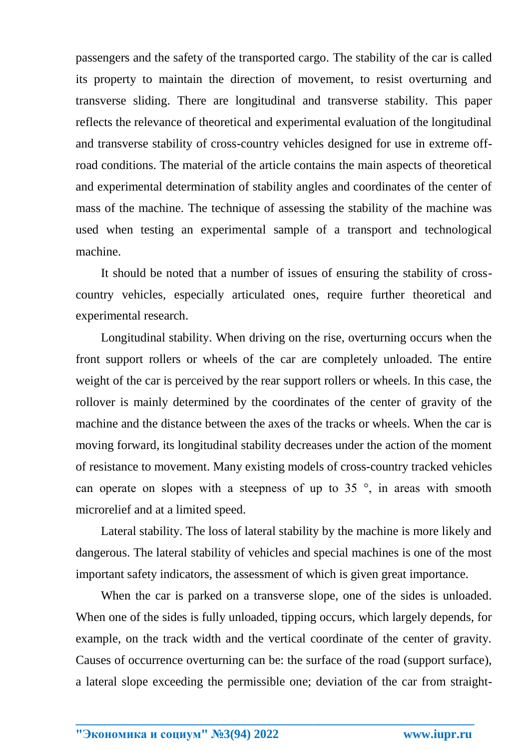passengers and the safety of the transported cargo. The stability of the car is called its property to maintain the direction of movement, to resist overturning and transverse sliding. There are longitudinal and transverse stability. This paper reflects the relevance of theoretical and experimental evaluation of the longitudinal and transverse stability of cross-country vehicles designed for use in extreme offroad conditions. The material of the article contains the main aspects of theoretical and experimental determination of stability angles and coordinates of the center of mass of the machine. The technique of assessing the stability of the machine was used when testing an experimental sample of a transport and technological machine.

It should be noted that a number of issues of ensuring the stability of crosscountry vehicles, especially articulated ones, require further theoretical and experimental research.

Longitudinal stability. When driving on the rise, overturning occurs when the front support rollers or wheels of the car are completely unloaded. The entire weight of the car is perceived by the rear support rollers or wheels. In this case, the rollover is mainly determined by the coordinates of the center of gravity of the machine and the distance between the axes of the tracks or wheels. When the car is moving forward, its longitudinal stability decreases under the action of the moment of resistance to movement. Many existing models of cross-country tracked vehicles can operate on slopes with a steepness of up to  $35^\circ$ , in areas with smooth microrelief and at a limited speed.

Lateral stability. The loss of lateral stability by the machine is more likely and dangerous. The lateral stability of vehicles and special machines is one of the most important safety indicators, the assessment of which is given great importance.

When the car is parked on a transverse slope, one of the sides is unloaded. When one of the sides is fully unloaded, tipping occurs, which largely depends, for example, on the track width and the vertical coordinate of the center of gravity. Causes of occurrence overturning can be: the surface of the road (support surface), a lateral slope exceeding the permissible one; deviation of the car from straight-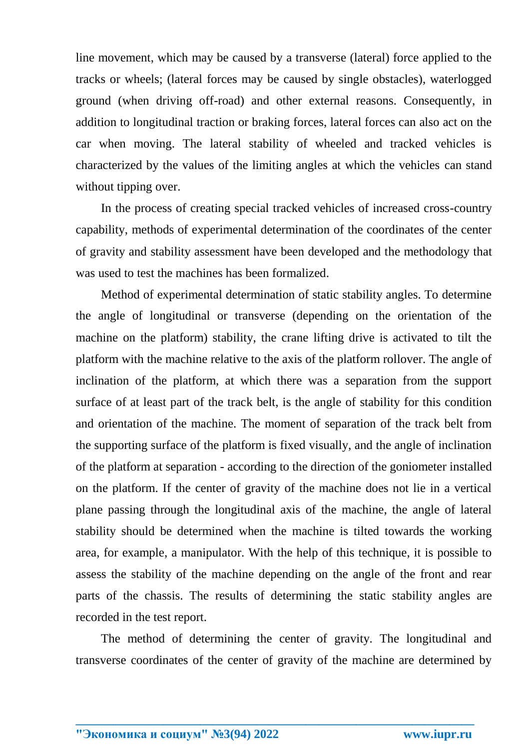line movement, which may be caused by a transverse (lateral) force applied to the tracks or wheels; (lateral forces may be caused by single obstacles), waterlogged ground (when driving off-road) and other external reasons. Consequently, in addition to longitudinal traction or braking forces, lateral forces can also act on the car when moving. The lateral stability of wheeled and tracked vehicles is characterized by the values of the limiting angles at which the vehicles can stand without tipping over.

In the process of creating special tracked vehicles of increased cross-country capability, methods of experimental determination of the coordinates of the center of gravity and stability assessment have been developed and the methodology that was used to test the machines has been formalized.

Method of experimental determination of static stability angles. To determine the angle of longitudinal or transverse (depending on the orientation of the machine on the platform) stability, the crane lifting drive is activated to tilt the platform with the machine relative to the axis of the platform rollover. The angle of inclination of the platform, at which there was a separation from the support surface of at least part of the track belt, is the angle of stability for this condition and orientation of the machine. The moment of separation of the track belt from the supporting surface of the platform is fixed visually, and the angle of inclination of the platform at separation - according to the direction of the goniometer installed on the platform. If the center of gravity of the machine does not lie in a vertical plane passing through the longitudinal axis of the machine, the angle of lateral stability should be determined when the machine is tilted towards the working area, for example, a manipulator. With the help of this technique, it is possible to assess the stability of the machine depending on the angle of the front and rear parts of the chassis. The results of determining the static stability angles are recorded in the test report.

The method of determining the center of gravity. The longitudinal and transverse coordinates of the center of gravity of the machine are determined by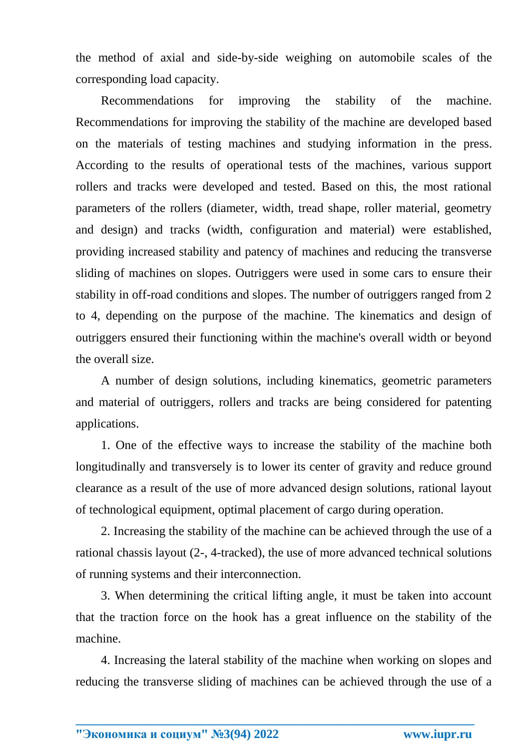the method of axial and side-by-side weighing on automobile scales of the corresponding load capacity.

Recommendations for improving the stability of the machine. Recommendations for improving the stability of the machine are developed based on the materials of testing machines and studying information in the press. According to the results of operational tests of the machines, various support rollers and tracks were developed and tested. Based on this, the most rational parameters of the rollers (diameter, width, tread shape, roller material, geometry and design) and tracks (width, configuration and material) were established, providing increased stability and patency of machines and reducing the transverse sliding of machines on slopes. Outriggers were used in some cars to ensure their stability in off-road conditions and slopes. The number of outriggers ranged from 2 to 4, depending on the purpose of the machine. The kinematics and design of outriggers ensured their functioning within the machine's overall width or beyond the overall size.

A number of design solutions, including kinematics, geometric parameters and material of outriggers, rollers and tracks are being considered for patenting applications.

1. One of the effective ways to increase the stability of the machine both longitudinally and transversely is to lower its center of gravity and reduce ground clearance as a result of the use of more advanced design solutions, rational layout of technological equipment, optimal placement of cargo during operation.

2. Increasing the stability of the machine can be achieved through the use of a rational chassis layout (2-, 4-tracked), the use of more advanced technical solutions of running systems and their interconnection.

3. When determining the critical lifting angle, it must be taken into account that the traction force on the hook has a great influence on the stability of the machine.

4. Increasing the lateral stability of the machine when working on slopes and reducing the transverse sliding of machines can be achieved through the use of a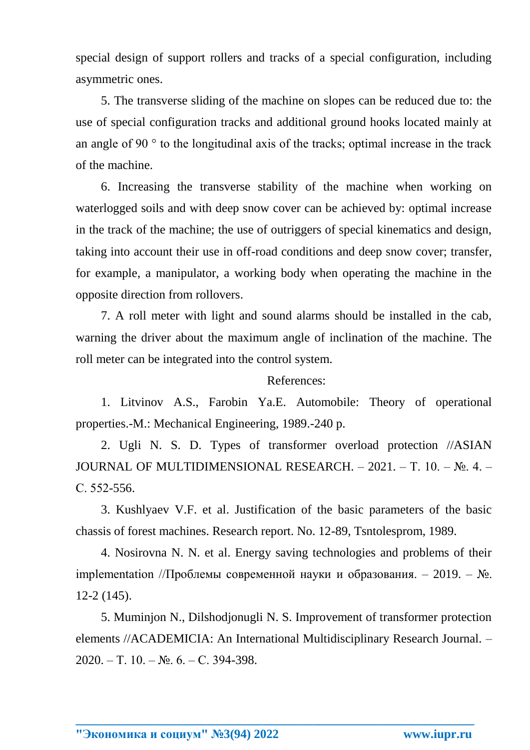special design of support rollers and tracks of a special configuration, including asymmetric ones.

5. The transverse sliding of the machine on slopes can be reduced due to: the use of special configuration tracks and additional ground hooks located mainly at an angle of 90 ° to the longitudinal axis of the tracks; optimal increase in the track of the machine.

6. Increasing the transverse stability of the machine when working on waterlogged soils and with deep snow cover can be achieved by: optimal increase in the track of the machine; the use of outriggers of special kinematics and design, taking into account their use in off-road conditions and deep snow cover; transfer, for example, a manipulator, a working body when operating the machine in the opposite direction from rollovers.

7. A roll meter with light and sound alarms should be installed in the cab, warning the driver about the maximum angle of inclination of the machine. The roll meter can be integrated into the control system.

## References:

1. Litvinov A.S., Farobin Ya.E. Automobile: Theory of operational properties.-M.: Mechanical Engineering, 1989.-240 p.

2. Ugli N. S. D. Types of transformer overload protection //ASIAN JOURNAL OF MULTIDIMENSIONAL RESEARCH. – 2021. – Т. 10. – №. 4. – С. 552-556.

3. Kushlyaev V.F. et al. Justification of the basic parameters of the basic chassis of forest machines. Research report. No. 12-89, Tsntolesprom, 1989.

4. Nosirovna N. N. et al. Energy saving technologies and problems of their implementation //Проблемы современной науки и образования. – 2019. –  $\mathbb{N}_2$ . 12-2 (145).

5. Muminjon N., Dilshodjonugli N. S. Improvement of transformer protection elements //ACADEMICIA: An International Multidisciplinary Research Journal. – 2020. – Т. 10. – №. 6. – С. 394-398.